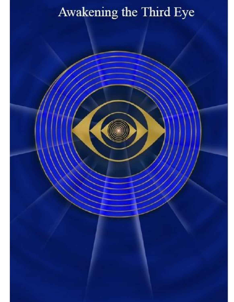# Awakening the Third Eye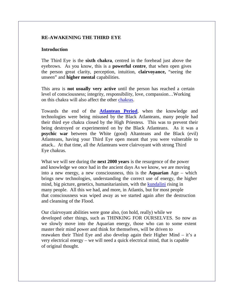## **RE-AWAKENING THE THIRD EYE**

## **Introduction**

The Third Eye is the **sixth chakra**, centred in the forehead just above the eyebrows. As you know, this is a **powerful centre**, that when open gives the person great clarity, perception, intuition, **clairvoyance,** "seeing the unseen" and **higher mental** capabilities.

This area is **not usually very active** until the person has reached a certain level of consciousness; integrity, responsibility, love, compassion…Working on this chakra will also affect the other chakras.

Towards the end of the **Atlantean Period**, when the knowledge and technologies were being misused by the Black Atlanteans, many people had their third eye chakra closed by the High Priestess. This was to prevent their being destroyed or experimented on by the Black Atlanteans. As it was a **psychic war** between the White (good) Altanteans and the Black (evil) Atlanteans, having your Third Eye open meant that you were vulnerable to attack.. At that time, all the Atlanteans were clairvoyant with strong Third Eye chakras.

What we will see during the **next 2000 years** is the resurgence of the power and knowledge we once had in the ancient days As we know, we are moving into a new energy, a new consciousness, this is the **Aquarian** Age – which brings new technologies, understanding the correct use of energy, the higher mind, big picture, genetics, humanitarianism, with the kundalini rising in many people. All this we had, and more, in Atlantis, but for most people that consciousness was wiped away as we started again after the destruction and cleansing of the Flood.

Our clairvoyant abilities were gone also, (on hold, really) while we developed other things, such as THINKING FOR OURSELVES. So now as we slowly move into the Aquarian energy, those who can to some extent master their mind power and think for themselves, will be driven to reawaken their Third Eye and also develop again their Higher Mind – it's a very electrical energy – we will need a quick electrical mind, that is capable of original thought.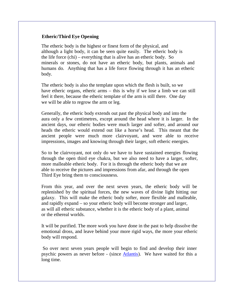## **Etheric/Third Eye Opening**

The etheric body is the highest or finest form of the physical, and although a light body, it can be seen quite easily. The etheric body is the life force (chi) – everything that is alive has an etheric body. So minerals or stones, do not have an etheric body, but plants, animals and humans do. Anything that has a life force flowing through it has an etheric body.

The etheric body is also the template upon which the flesh is built, so we have etheric organs, etheric arms – this is why if we lose a limb we can still feel it there, because the etheric template of the arm is still there. One day we will be able to regrow the arm or leg.

Generally, the etheric body extends out past the physical body and into the aura only a few centimetres, except around the head where it is larger. In the ancient days, our etheric bodies were much larger and softer, and around our heads the etheric would extend out like a horse's head. This meant that the ancient people were much more clairvoyant, and were able to receive impressions, images and knowing through their larger, soft etheric energies.

So to be clairvoyant, not only do we have to have sustained energies flowing through the open third eye chakra, but we also need to have a larger, softer, more malleable etheric body. For it is through the etheric body that we are able to receive the pictures and impressions from afar, and through the open Third Eye bring them to consciousness.

From this year, and over the next seven years, the etheric body will be replenished by the spiritual forces, the new waves of divine light hitting our galaxy. This will make the etheric body softer, more flexible and malleable, and rapidly expand – so your etheric body will become stronger and larger, as will all etheric substance, whether it is the etheric body of a plant, animal or the ethereal worlds.

It will be purified. The more work you have done in the past to help dissolve the emotional dross, and leave behind your more rigid ways, the more your etheric body will respond.

So over next seven years people will begin to find and develop their inner psychic powers as never before - (since Atlantis). We have waited for this a long time.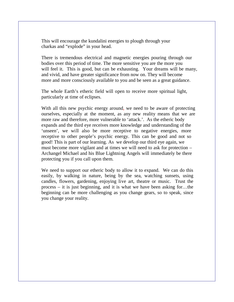This will encourage the kundalini energies to plough through your charkas and "explode" in your head.

There is tremendous electrical and magnetic energies pouring through our bodies over this period of time. The more sensitive you are the more you will feel it. This is good, but can be exhausting. Your dreams will be many, and vivid, and have greater significance from now on. They will become more and more consciously available to you and be seen as a great guidance.

The whole Earth's etheric field will open to receive more spiritual light, particularly at time of eclipses.

With all this new psychic energy around, we need to be aware of protecting ourselves, especially at the moment, as any new reality means that we are more raw and therefore, more vulnerable to 'attack.'. As the etheric body expands and the third eye receives more knowledge and understanding of the 'unseen', we will also be more receptive to negative energies, more receptive to other people's psychic energy. This can be good and not so good! This is part of our learning. As we develop our third eye again, we must become more vigilant and at times we will need to ask for protection – Archangel Michael and his Blue Lightning Angels will immediately be there protecting you if you call upon them.

We need to support our etheric body to allow it to expand. We can do this easily, by walking in nature, being by the sea, watching sunsets, using candles, flowers, gardening, enjoying live art, theatre or music. Trust the process – it is just beginning, and it is what we have been asking for…the beginning can be more challenging as you change gears, so to speak, since you change your reality.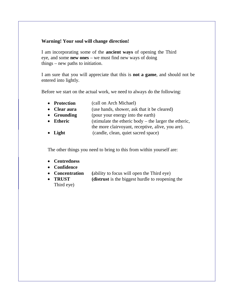## **Warning! Your soul will change direction!**

I am incorporating some of the **ancient ways** of opening the Third eye, and some **new ones** – we must find new ways of doing things – new paths to initiation.

I am sure that you will appreciate that this is **not a game**, and should not be entered into lightly.

Before we start on the actual work, we need to always do the following:

- **Protection** (call on Arch Michael)
- **Clear aura** (use hands, shower, ask that it be cleared)
- **Grounding** (pour your energy into the earth)
- **Etheric** (stimulate the etheric body the larger the etheric, the more clairvoyant, receptive, alive, you are).
- **Light** (candle, clean, quiet sacred space)

The other things you need to bring to this from within yourself are:

- **Centredness**
- **Confidence**
- **Concentration (**ability to focus will open the Third eye)
- **TRUST (distrust** is the biggest hurdle to reopening the Third eye)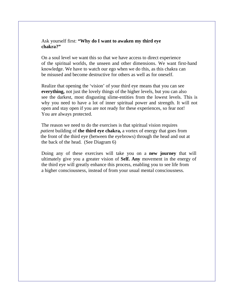#### Ask yourself first: **"Why do I want to awaken my third eye chakra?"**

On a soul level we want this so that we have access to direct experience of the spiritual worlds, the unseen and other dimensions. We want first-hand knowledge. We have to watch our ego when we do this, as this chakra can be misused and become destructive for others as well as for oneself.

Realize that opening the 'vision' of your third eye means that you can see **everything,** not just the lovely things of the higher levels, but you can also see the darkest, most disgusting slime-entities from the lowest levels. This is why you need to have a lot of inner spiritual power and strength. It will not open and stay open if you are not ready for these experiences, so fear not! You are always protected.

The reason we need to do the exercises is that spiritual vision requires  *patient* building of **the third eye chakra,** a vortex of energy that goes from the front of the third eye (between the eyebrows) through the head and out at the back of the head. (See Diagram 6)

Doing any of these exercises will take you on a **new journey** that will ultimately give you a greater vision of **Self. Any** movement in the energy of the third eye will greatly enhance this process, enabling you to see life from a higher consciousness, instead of from your usual mental consciousness.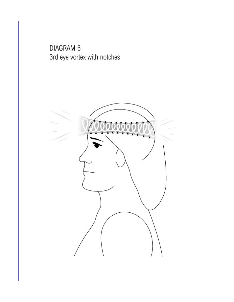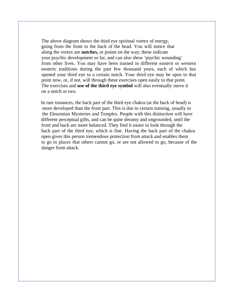The above diagram shows the third eye spiritual vortex of energy, going from the front to the back of the head. You will notice that along the vortex are **notches,** or points on the way; these indicate your psychic development so far, and can also show 'psychic wounding' from other lives. You may have been trained in different eastern or western esoteric traditions during the past few thousand years, each of which has opened your third eye to a certain notch. Your third eye may be open to that point now, or, if not, will through these exercises open easily to that point. The exercises and **use of the third eye symbol** will also eventually move it on a notch or two.

In rare instances, the back part of the third eye chakra (at the back of head) is more developed than the front part. This is due to certain training, usually in the Eleusinian Mysteries and Temples. People with this distinction will have different perceptual gifts, and can be quite dreamy and ungrounded, until the front and back are more balanced. They find it easier to look through the back part of the third eye, which is fine. Having the back part of the chakra open gives this person tremendous protection from attack and enables them to go to places that others cannot go, or are not allowed to go, because of the danger from attack.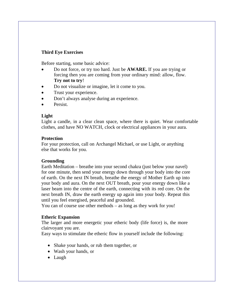# **Third Eye Exercises**

Before starting, some basic advice:

- Do not force, or try too hard. Just be **AWARE.** If you are trying or forcing then you are coming from your ordinary mind: allow, flow. **Try not to try**!
- Do not visualize or imagine, let it come to you.
- Trust your experience.
- Don't always analyse during an experience.
- **•** Persist.

## **Light**

Light a candle, in a clear clean space, where there is quiet. Wear comfortable clothes, and have NO WATCH, clock or electrical appliances in your aura.

## **Protection**

For your protection, call on Archangel Michael, or use Light, or anything else that works for you.

## **Grounding**

Earth Meditation – breathe into your second chakra (just below your navel) for one minute, then send your energy down through your body into the core of earth. On the next IN breath, breathe the energy of Mother Earth up into your body and aura. On the next OUT breath, pour your energy down like a laser beam into the centre of the earth, connecting with its red core. On the next breath IN, draw the earth energy up again into your body. Repeat this until you feel energised, peaceful and grounded.

You can of course use other methods – as long as they work for you!

## **Etheric Expansion**

The larger and more energetic your etheric body (life force) is, the more clairvoyant you are.

Easy ways to stimulate the etheric flow in yourself include the following:

- Shake your hands, or rub them together, or
- Wash your hands, or
- Laugh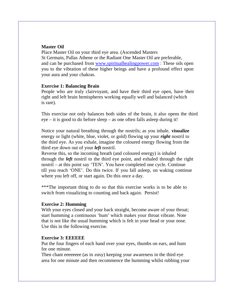#### **Master Oil**

Place Master Oil on your third eye area. (Ascended Masters St Germain, Pallas Athene or the Radiant One Master Oil are preferable, and can be purchased from w[ww.spiritualhealingpower.com :](www.spiritualhealingpower.com) These oils open you to the vibration of these higher beings and have a profound effect upon your aura and your chakras.

#### **Exercise 1: Balancing Brain**

People who are truly clairvoyant, and have their third eye open, have their right and left brain hemispheres working equally well and balanced (which is rare).

This exercise not only balances both sides of the brain, it also opens the third eye – it is good to do before sleep – as one often falls asleep during it!

Notice your natural breathing through the nostrils; as you inhale, **visualize** energy or light (white, blue, violet, or gold) flowing up your *right* nostril to the third eye. As you exhale, imagine the coloured energy flowing from the third eye down out of your *left* nostril.

Reverse this, so the incoming breath (and coloured energy) is inhaled through the *left* nostril to the third eye point, and exhaled through the right nostril – at this point say 'TEN'. You have completed one cycle. Continue till you reach 'ONE'. Do this twice. If you fall asleep, on waking continue where you left off, or start again. Do this once a day.

\*\*\*The important thing to do so that this exercise works is to be able to switch from visualizing to counting and back again. Persist!

#### **Exercise 2: Humming**

With your eyes closed and your back straight, become aware of your throat; start humming a continuous 'hum' which makes your throat vibrate. Note that is not like the usual humming which is felt in your head or your nose. Use this in the following exercise.

#### **Exercise 3: EEEEEE**

Put the four fingers of each hand over your eyes, thumbs on ears, and hum for one minute.

Then chant eeeeeeee (as in *ea*sy) keeping your awareness in the third eye area for one minute and then recommence the humming whilst rubbing your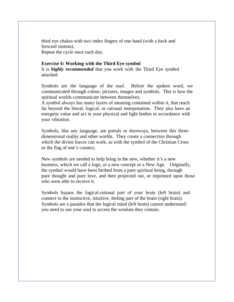third eye chakra with two index fingers of one hand (with a back and forward motion).

Repeat the cycle once each day.

## **Exercise 4: Working with the Third Eye symbol**

It is *highly recommended* that you work with the Third Eye symbol attached.

Symbols are the language of the soul. Before the spoken word, we communicated through colour, pictures, images and symbols. This is how the spiritual worlds communicate between themselves.

A symbol always has many layers of meaning contained within it, that reach far beyond the literal, logical, or rational interpretation. They also have an energetic value and act in your physical and light bodies in accordance with your vibration.

Symbols, like any language, are portals or doorways, between this threedimensional reality and other worlds. They create a connection through which the divine forces can work, as with the symbol of the Christian Cross or the flag of one's country.

New symbols are needed to help bring in the new, whether it's a new business, which we call a logo, or a new concept or a New Age. Originally, the symbol would have been birthed from a pure spiritual being, through pure thought and pure love, and then projected out, or imprinted upon those who were able to receive it.

Symbols bypass the logical-rational part of your brain (left brain) and connect to the instinctive, intuitive, feeling part of the brain (right brain). Symbols are a paradox that the logical mind (left brain) cannot understand: you need to use your soul to access the wisdom they contain.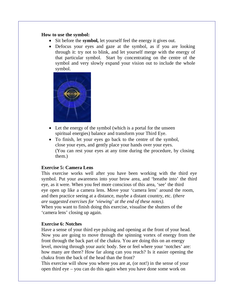#### **How to use the symbol:**

- Sit before the **symbol**, let yourself feel the energy it gives out.
- Defocus your eyes and gaze at the symbol, as if you are looking through it: try not to blink, and let yourself merge with the energy of that particular symbol. Start by concentrating on the centre of the symbol and very slowly expand your vision out to include the whole symbol.



- Let the energy of the symbol (which is a portal for the unseen spiritual energies) balance and transform your Third Eye.
- To finish, let your eyes go back to the centre of the symbol, close your eyes, and gently place your hands over your eyes. (You can rest your eyes at any time during the procedure, by closing them.)

#### **Exercise 5: Camera Lens**

This exercise works well after you have been working with the third eye symbol. Put your awareness into your brow area, and 'breathe into' the third eye, as it were. When you feel more conscious of this area, 'see' the third eye open up like a camera lens. Move your 'camera lens' around the room, and then practice seeing at a distance, maybe a distant country, etc. (*there are suggested exercises for 'viewing' at the end of these notes).* When you want to finish doing this exercise, visualise the shutters of the 'camera lens' closing up again.

#### **Exercise 6: Notches**

Have a sense of your third eye pulsing and opening at the front of your head. Now you are going to move through the spinning vortex of energy from the front through the back part of the chakra. You are doing this on an energy level, moving through your auric body. See or feel where your 'notches' are: how many are there? How far along can you reach? Is it easier opening the chakra from the back of the head than the front?

This exercise will show you where you are at, (or not!) in the sense of your open third eye – you can do this again when you have done some work on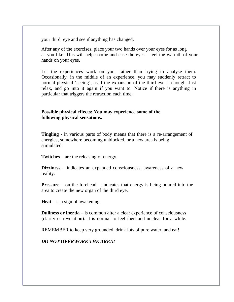your third eye and see if anything has changed.

After any of the exercises, place your two hands over your eyes for as long as you like. This will help soothe and ease the eyes – feel the warmth of your hands on your eyes.

Let the experiences work on you, rather than trying to analyse them. Occasionally, in the middle of an experience, you may suddenly retract to normal physical 'seeing', as if the expansion of the third eye is enough. Just relax, and go into it again if you want to. Notice if there is anything in particular that triggers the retraction each time.

## **Possible physical effects: You may experience some of the following physical sensations.**

**Tingling -** in various parts of body means that there is a re-arrangement of energies, somewhere becoming unblocked, or a new area is being stimulated.

**Twitches** – are the releasing of energy.

**Dizziness** – indicates an expanded consciousness, awareness of a new reality.

**Pressure** – on the forehead – indicates that energy is being poured into the area to create the new organ of the third eye.

**Heat** – is a sign of awakening.

**Dullness or inertia** – is common after a clear experience of consciousness (clarity or revelation). It is normal to feel inert and unclear for a while.

REMEMBER to keep very grounded, drink lots of pure water, and eat!

*DO NOT OVERWORK THE AREA!*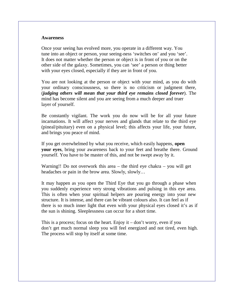#### **Awareness**

Once your seeing has evolved more, you operate in a different way. You tune into an object or person, your seeing-ness 'switches on' and you 'see'. It does not matter whether the person or object is in front of you or on the other side of the galaxy. Sometimes, you can 'see' a person or thing better with your eyes closed, especially if they are in front of you.

You are not looking at the person or object with your mind, as you do with your ordinary consciousness, so there is no criticism or judgment there, (*judging others will mean that your third eye remains closed forever*). The mind has become silent and you are seeing from a much deeper and truer layer of yourself.

Be constantly vigilant. The work you do now will be for all your future incarnations. It will affect your nerves and glands that relate to the third eye (pineal/pituitary) even on a physical level; this affects your life, your future, and brings you peace of mind.

If you get overwhelmed by what you receive, which easily happens, **open your eyes**, bring your awareness back to your feet and breathe there. Ground yourself. You have to be master of this, and not be swept away by it.

Warning!! Do not overwork this area – the third eye chakra – you will get headaches or pain in the brow area. Slowly, slowly…

It may happen as you open the Third Eye that you go through a phase when you suddenly experience very strong vibrations and pulsing in this eye area. This is often when your spiritual helpers are pouring energy into your new structure. It is intense, and there can be vibrant colours also. It can feel as if there is so much inner light that even with your physical eyes closed it's as if the sun is shining. Sleeplessness can occur for a short time.

This is a process; focus on the heart. Enjoy it – don't worry, even if you don't get much normal sleep you will feel energized and not tired, even high. The process will stop by itself at some time.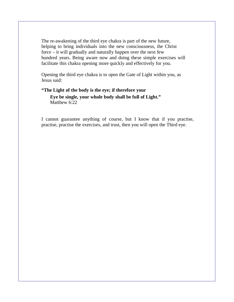The re-awakening of the third eye chakra is part of the new future, helping to bring individuals into the new consciousness, the Christ force – it will gradually and naturally happen over the next few hundred years. Being aware now and doing these simple exercises will facilitate this chakra opening more quickly and effectively for you.

Opening the third eye chakra is to open the Gate of Light within you, as Jesus said:

# **"The Light of the body is the eye; if therefore your Eye be single, your whole body shall be full of Light."** Matthew 6:22

I cannot guarantee anything of course, but I know that if you practise, practise, practise the exercises, and trust, then you will open the Third eye.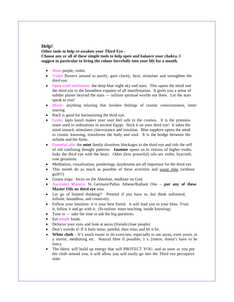#### **Help!**

**Other tools to help re-awaken your Third Eye - Choose any or all of these simple tools to help open and balance your chakra. I suggest in particular to bring the colour forcefully into your life for a month.**

- Wear purple, violet.
- Violet flowers around to purify, gain clarity, heal, stimulate and strengthen the third eye.
- Open eyed meditation: the deep blue night sky and stars. This opens the mind and the third eye to the boundless expanse of all manifestation. It gives you a sense of subtler planes beyond the stars — infinite spiritual worlds out there. Let the stars speak to you!
- Music: anything relaxing that invokes feelings of cosmic consciousness, inner soaring.
- Bach is good for harmonizing the third eye.
- Gems: lapis lazuli makes your soul feel safe in the cosmos. It is the priestess stone used in ordinations in ancient Egypt. Stick it on your third eye! It takes the mind inward, stimulates clairvoyance and intuition. Blue sapphire opens the mind to cosmic knowing, transforms the body and soul. It is the bridge between the infinite and the finite.
- Essential oils: the **mint** family dissolves blockages in the third eye and rids the self of old confining thought patterns. **Jasmine** opens us to visions of higher truths, links the third eye with the heart. Other (less powerful) oils are violet, hyacinth, rose geranium.
- Meditation, visualization, ponderings, daydreams are all important for the third eye.
- This month do as much as possible of these activities and *waste time* (without guilt!!)
- Gnana yoga: focus on the Absolute, meditate on God.
- Ascended Masters: St Germain/Pallas Athene/Radiant One **put any of these Master Oils on third eye** area.
- Let go of limited thinking!! Pretend if you have to, but think unlimited, infinite, boundless, and creatively.
- Follow your intuition: it is your best friend. It will lead you to your bliss. Trust it, follow it and go with it. (In-tuition: inner teaching, inside knowing)
- $\bullet$  Tune in take the time to ask the big questions.
- Eat purple foods.
- Defocus your eyes and look at auras (friends/close people)
- Don't overdo it! If it feels tense, painful, then relax and let it be.
- **White cloth** It's much easier to do exercises, especially to see auras, even yours, in a mirror, meditating etc. Natural fibre if possible, 1 x 2metre, doesn't have to be fancy.
- The fabric will build up energy that will PROTECT YOU, and as soon as you put the cloth around you, it will allow you will easily go into the Third eye perceptive state.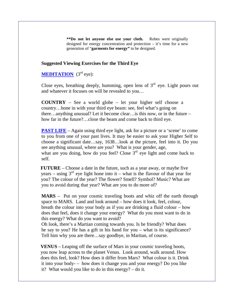**\*\*Do not let anyone else use your cloth.** Robes were originally designed for energy concentration and protection – it's time for a new generation of "**garments for energy"** to be designed.

#### **Suggested Viewing Exercises for the Third Eye**

**MEDITATION** (3<sup>rd</sup> eye):

Close eyes, breathing deeply, humming, open lens of  $3<sup>rd</sup>$  eye. Light pours out and whatever it focuses on will be revealed to you…

**COUNTRY** – See a world globe – let your higher self choose a country…hone in with your third eye beam: see, feel what's going on there…anything unusual? Let it become clear…is this now, or in the future – how far in the future?…close the beam and come back to third eye.

**PAST LIFE** – Again using third eye light, ask for a picture or a 'scene' to come to you from one of your past lives. It may be easier to ask your Higher Self to choose a significant date…say, 1638…look at the picture, feel into it. Do you see anything unusual, where are you? What is your gender, age, what are you doing, how do you feel? Close  $3<sup>rd</sup>$  eye light and come back to self.

**FUTURE** – Choose a date in the future, such as a year away, or maybe five years – using  $3^{rd}$  eye light hone into it – what is the flavour of that year for you? The colour of the year? The flower? Smell? Symbol? Music? What are you to avoid during that year? What are you to do more of?

**MARS** – Put on your cosmic traveling boots and whiz off the earth through space to MARS. Land and look around – how does it look, feel, colour, breath the colour into your body as if you are drinking a fluid colour – how does that feel, does it change your energy? What do you most want to do in this energy? What do you want to avoid?

Oh look, there's a Martian coming towards you. Is he friendly? What does he say to you? He has a gift in his hand for you – what is its significance? Tell him why you are there…say goodbye, in Maritan, of course.

 **VENUS** – Leaping off the surface of Mars in your cosmic traveling boots, you now leap across to the planet Venus. Look around, walk around. How does this feel, look? How does it differ from Mars? What colour is it. Drink it into your body- – how does it change you and your energy? Do you like it? What would you like to do in this energy? – do it.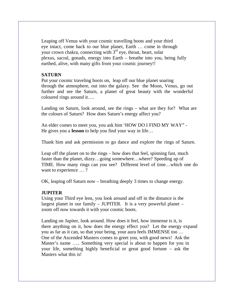Leaping off Venus with your cosmic travelling boots and your third eye intact, come back to our blue planet, Earth … come in through your crown chakra, connecting with  $3<sup>rd</sup>$  eye, throat, heart, solar plexus, sacral, gonads, energy into Earth – breathe into you, being fully earthed, alive, with many gifts from your cosmic journey!!

## **SATURN**

Put your cosmic traveling boots on, leap off our blue planet soaring through the atmosphere, out into the galaxy. See the Moon, Venus, go out further and see the Saturn, a planet of great beauty with the wonderful coloured rings around it….

Landing on Saturn, look around, see the rings – what are they for? What are the colours of Saturn? How does Saturn's energy affect you?

An elder comes to meet you, you ask him 'HOW DO I FIND MY WAY" - He gives you a **lesson** to help you find your way in life…

Thank him and ask permission to go dance and explore the rings of Saturn.

Leap off the planet on to the rings – how does that feel, spinning fast, much faster than the planet, dizzy…going somewhere…where? Speeding up of TIME. How many rings can you see? Different level of time…which one do want to experience ...?

OK, leaping off Saturn now – breathing deeply 3 times to change energy.

## **JUPITER**

Using your Third eye lens, you look around and off in the distance is the largest planet in our family – JUPITER. It is a very powerful planet – zoom off now towards it with your cosmic boots.

Landing on Jupiter, look around. How does it feel, how immense is it, is there anything on it, how does the energy effect you? Let the energy expand you as far as it can, so that your being, your aura feels IMMENSE too … One of the Ascended Masters comes to greet you, with good news! Ask the Master's name ….. Something very special is about to happen for you in your life, something highly beneficial or great good fortune – ask the Masters what this is!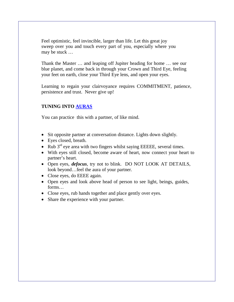Feel optimistic, feel invincible, larger than life. Let this great joy sweep over you and touch every part of you, especially where you may be stuck …

Thank the Master … and leaping off Jupiter heading for home … see our blue planet, and come back in through your Crown and Third Eye, feeling your feet on earth, close your Third Eye lens, and open your eyes.

Learning to regain your clairvoyance requires COMMITMENT, patience, persistence and trust. Never give up!

# **TUNING INTO AURAS**

You can practice this with a partner, of like mind.

- Sit opposite partner at conversation distance. Lights down slightly.
- Eyes closed, breath.
- Rub  $3<sup>rd</sup>$  eye area with two fingers whilst saying EEEEE, several times.
- With eyes still closed, become aware of heart, now connect your heart to partner's heart.
- Open eyes, *defocus*, try not to blink. DO NOT LOOK AT DETAILS, look beyond…feel the aura of your partner.
- Close eyes, do EEEE again.
- Open eyes and look above head of person to see light, beings, guides, forms…
- Close eyes, rub hands together and place gently over eyes.
- Share the experience with your partner.